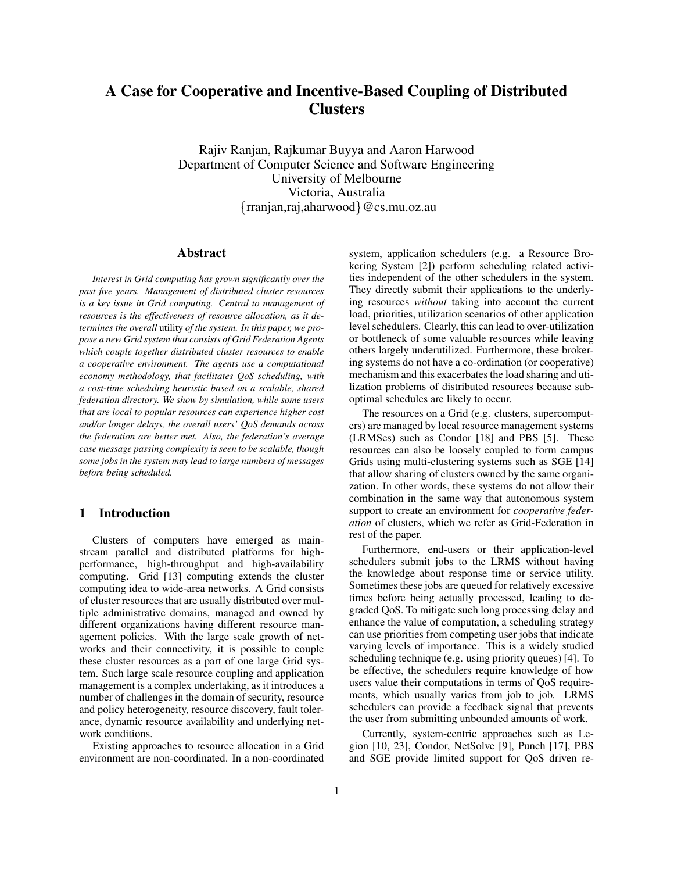# **A Case for Cooperative and Incentive-Based Coupling of Distributed Clusters**

Rajiv Ranjan, Rajkumar Buyya and Aaron Harwood Department of Computer Science and Software Engineering University of Melbourne Victoria, Australia {rranjan,raj,aharwood}@cs.mu.oz.au

#### **Abstract**

*Interest in Grid computing has grown significantly over the past five years. Management of distributed cluster resources is a key issue in Grid computing. Central to management of resources is the effectiveness of resource allocation, as it determines the overall* utility *of the system. In this paper, we propose a new Grid system that consists of Grid Federation Agents which couple together distributed cluster resources to enable a cooperative environment. The agents use a computational economy methodology, that facilitates QoS scheduling, with a cost-time scheduling heuristic based on a scalable, shared federation directory. We show by simulation, while some users that are local to popular resources can experience higher cost and/or longer delays, the overall users' QoS demands across the federation are better met. Also, the federation's average case message passing complexity is seen to be scalable, though some jobs in the system may lead to large numbers of messages before being scheduled.*

# **1 Introduction**

Clusters of computers have emerged as mainstream parallel and distributed platforms for highperformance, high-throughput and high-availability computing. Grid [13] computing extends the cluster computing idea to wide-area networks. A Grid consists of cluster resources that are usually distributed over multiple administrative domains, managed and owned by different organizations having different resource management policies. With the large scale growth of networks and their connectivity, it is possible to couple these cluster resources as a part of one large Grid system. Such large scale resource coupling and application management is a complex undertaking, as it introduces a number of challenges in the domain of security, resource and policy heterogeneity, resource discovery, fault tolerance, dynamic resource availability and underlying network conditions.

Existing approaches to resource allocation in a Grid environment are non-coordinated. In a non-coordinated

system, application schedulers (e.g. a Resource Brokering System [2]) perform scheduling related activities independent of the other schedulers in the system. They directly submit their applications to the underlying resources *without* taking into account the current load, priorities, utilization scenarios of other application level schedulers. Clearly, this can lead to over-utilization or bottleneck of some valuable resources while leaving others largely underutilized. Furthermore, these brokering systems do not have a co-ordination (or cooperative) mechanism and this exacerbates the load sharing and utilization problems of distributed resources because suboptimal schedules are likely to occur.

The resources on a Grid (e.g. clusters, supercomputers) are managed by local resource management systems (LRMSes) such as Condor [18] and PBS [5]. These resources can also be loosely coupled to form campus Grids using multi-clustering systems such as SGE [14] that allow sharing of clusters owned by the same organization. In other words, these systems do not allow their combination in the same way that autonomous system support to create an environment for *cooperative federation* of clusters, which we refer as Grid-Federation in rest of the paper.

Furthermore, end-users or their application-level schedulers submit jobs to the LRMS without having the knowledge about response time or service utility. Sometimes these jobs are queued for relatively excessive times before being actually processed, leading to degraded QoS. To mitigate such long processing delay and enhance the value of computation, a scheduling strategy can use priorities from competing user jobs that indicate varying levels of importance. This is a widely studied scheduling technique (e.g. using priority queues) [4]. To be effective, the schedulers require knowledge of how users value their computations in terms of QoS requirements, which usually varies from job to job. LRMS schedulers can provide a feedback signal that prevents the user from submitting unbounded amounts of work.

Currently, system-centric approaches such as Legion [10, 23], Condor, NetSolve [9], Punch [17], PBS and SGE provide limited support for QoS driven re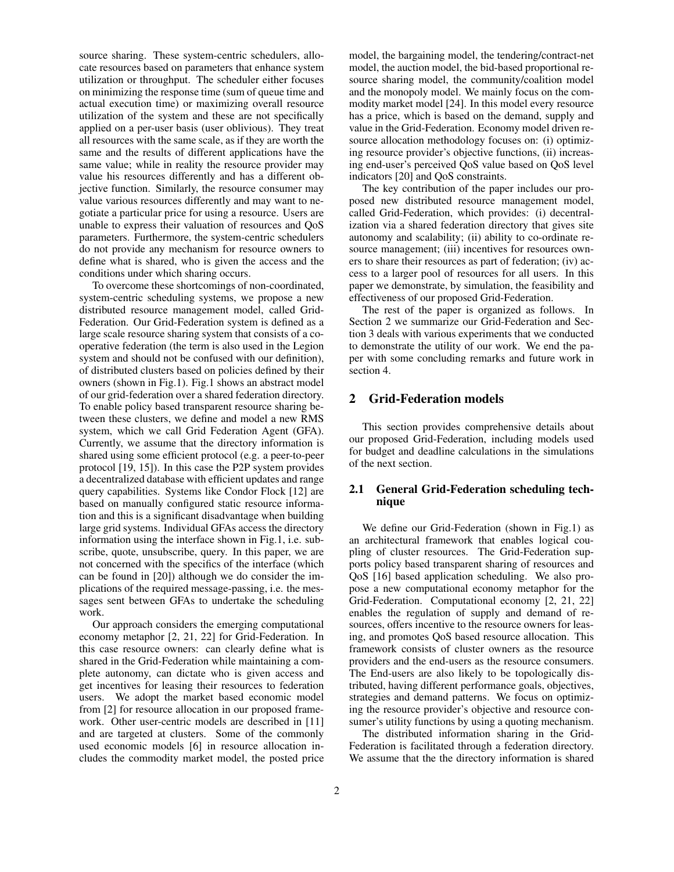source sharing. These system-centric schedulers, allocate resources based on parameters that enhance system utilization or throughput. The scheduler either focuses on minimizing the response time (sum of queue time and actual execution time) or maximizing overall resource utilization of the system and these are not specifically applied on a per-user basis (user oblivious). They treat all resources with the same scale, as if they are worth the same and the results of different applications have the same value; while in reality the resource provider may value his resources differently and has a different objective function. Similarly, the resource consumer may value various resources differently and may want to negotiate a particular price for using a resource. Users are unable to express their valuation of resources and QoS parameters. Furthermore, the system-centric schedulers do not provide any mechanism for resource owners to define what is shared, who is given the access and the conditions under which sharing occurs.

To overcome these shortcomings of non-coordinated, system-centric scheduling systems, we propose a new distributed resource management model, called Grid-Federation. Our Grid-Federation system is defined as a large scale resource sharing system that consists of a cooperative federation (the term is also used in the Legion system and should not be confused with our definition), of distributed clusters based on policies defined by their owners (shown in Fig.1). Fig.1 shows an abstract model of our grid-federation over a shared federation directory. To enable policy based transparent resource sharing between these clusters, we define and model a new RMS system, which we call Grid Federation Agent (GFA). Currently, we assume that the directory information is shared using some efficient protocol (e.g. a peer-to-peer protocol [19, 15]). In this case the P2P system provides a decentralized database with efficient updates and range query capabilities. Systems like Condor Flock [12] are based on manually configured static resource information and this is a significant disadvantage when building large grid systems. Individual GFAs access the directory information using the interface shown in Fig.1, i.e. subscribe, quote, unsubscribe, query. In this paper, we are not concerned with the specifics of the interface (which can be found in [20]) although we do consider the implications of the required message-passing, i.e. the messages sent between GFAs to undertake the scheduling work.

Our approach considers the emerging computational economy metaphor [2, 21, 22] for Grid-Federation. In this case resource owners: can clearly define what is shared in the Grid-Federation while maintaining a complete autonomy, can dictate who is given access and get incentives for leasing their resources to federation users. We adopt the market based economic model from [2] for resource allocation in our proposed framework. Other user-centric models are described in [11] and are targeted at clusters. Some of the commonly used economic models [6] in resource allocation includes the commodity market model, the posted price model, the bargaining model, the tendering/contract-net model, the auction model, the bid-based proportional resource sharing model, the community/coalition model and the monopoly model. We mainly focus on the commodity market model [24]. In this model every resource has a price, which is based on the demand, supply and value in the Grid-Federation. Economy model driven resource allocation methodology focuses on: (i) optimizing resource provider's objective functions, (ii) increasing end-user's perceived QoS value based on QoS level indicators [20] and QoS constraints.

The key contribution of the paper includes our proposed new distributed resource management model, called Grid-Federation, which provides: (i) decentralization via a shared federation directory that gives site autonomy and scalability; (ii) ability to co-ordinate resource management; (iii) incentives for resources owners to share their resources as part of federation; (iv) access to a larger pool of resources for all users. In this paper we demonstrate, by simulation, the feasibility and effectiveness of our proposed Grid-Federation.

The rest of the paper is organized as follows. In Section 2 we summarize our Grid-Federation and Section 3 deals with various experiments that we conducted to demonstrate the utility of our work. We end the paper with some concluding remarks and future work in section 4.

# **2 Grid-Federation models**

This section provides comprehensive details about our proposed Grid-Federation, including models used for budget and deadline calculations in the simulations of the next section.

# **2.1 General Grid-Federation scheduling technique**

We define our Grid-Federation (shown in Fig.1) as an architectural framework that enables logical coupling of cluster resources. The Grid-Federation supports policy based transparent sharing of resources and QoS [16] based application scheduling. We also propose a new computational economy metaphor for the Grid-Federation. Computational economy [2, 21, 22] enables the regulation of supply and demand of resources, offers incentive to the resource owners for leasing, and promotes QoS based resource allocation. This framework consists of cluster owners as the resource providers and the end-users as the resource consumers. The End-users are also likely to be topologically distributed, having different performance goals, objectives, strategies and demand patterns. We focus on optimizing the resource provider's objective and resource consumer's utility functions by using a quoting mechanism.

The distributed information sharing in the Grid-Federation is facilitated through a federation directory. We assume that the the directory information is shared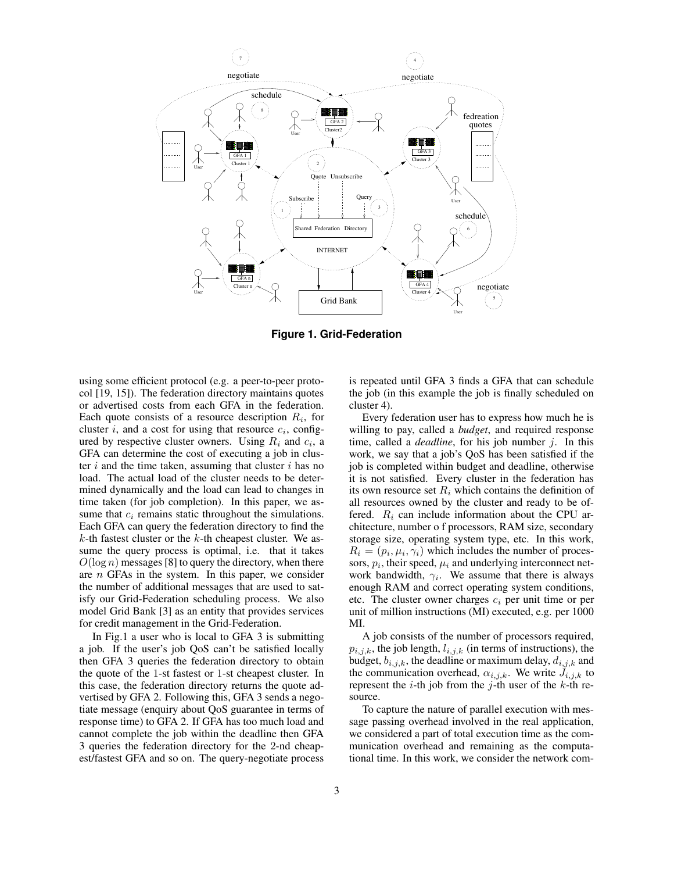

**Figure 1. Grid-Federation**

using some efficient protocol (e.g. a peer-to-peer protocol [19, 15]). The federation directory maintains quotes or advertised costs from each GFA in the federation. Each quote consists of a resource description  $R_i$ , for cluster  $i$ , and a cost for using that resource  $c_i$ , configured by respective cluster owners. Using  $R_i$  and  $c_i$ , a GFA can determine the cost of executing a job in cluster  $i$  and the time taken, assuming that cluster  $i$  has no load. The actual load of the cluster needs to be determined dynamically and the load can lead to changes in time taken (for job completion). In this paper, we assume that  $c_i$  remains static throughout the simulations. Each GFA can query the federation directory to find the  $k$ -th fastest cluster or the  $k$ -th cheapest cluster. We assume the query process is optimal, i.e. that it takes  $O(\log n)$  messages [8] to query the directory, when there are  $n$  GFAs in the system. In this paper, we consider the number of additional messages that are used to satisfy our Grid-Federation scheduling process. We also model Grid Bank [3] as an entity that provides services for credit management in the Grid-Federation.

In Fig.1 a user who is local to GFA 3 is submitting a job. If the user's job QoS can't be satisfied locally then GFA 3 queries the federation directory to obtain the quote of the 1-st fastest or 1-st cheapest cluster. In this case, the federation directory returns the quote advertised by GFA 2. Following this, GFA 3 sends a negotiate message (enquiry about QoS guarantee in terms of response time) to GFA 2. If GFA has too much load and cannot complete the job within the deadline then GFA 3 queries the federation directory for the 2-nd cheapest/fastest GFA and so on. The query-negotiate process

is repeated until GFA 3 finds a GFA that can schedule the job (in this example the job is finally scheduled on cluster 4).

Every federation user has to express how much he is willing to pay, called a *budget*, and required response time, called a *deadline*, for his job number j. In this work, we say that a job's QoS has been satisfied if the job is completed within budget and deadline, otherwise it is not satisfied. Every cluster in the federation has its own resource set  $R_i$  which contains the definition of all resources owned by the cluster and ready to be offered.  $R_i$  can include information about the CPU architecture, number o f processors, RAM size, secondary storage size, operating system type, etc. In this work,  $R_i = (p_i, \mu_i, \gamma_i)$  which includes the number of processors,  $p_i$ , their speed,  $\mu_i$  and underlying interconnect network bandwidth,  $\gamma_i$ . We assume that there is always enough RAM and correct operating system conditions, etc. The cluster owner charges  $c_i$  per unit time or per unit of million instructions (MI) executed, e.g. per 1000 MI.

A job consists of the number of processors required,  $p_{i,j,k}$ , the job length,  $l_{i,j,k}$  (in terms of instructions), the budget,  $b_{i,j,k}$ , the deadline or maximum delay,  $d_{i,j,k}$  and the communication overhead,  $\alpha_{i,j,k}$ . We write  $J_{i,j,k}$  to represent the  $i$ -th job from the  $j$ -th user of the  $k$ -th resource.

To capture the nature of parallel execution with message passing overhead involved in the real application, we considered a part of total execution time as the communication overhead and remaining as the computational time. In this work, we consider the network com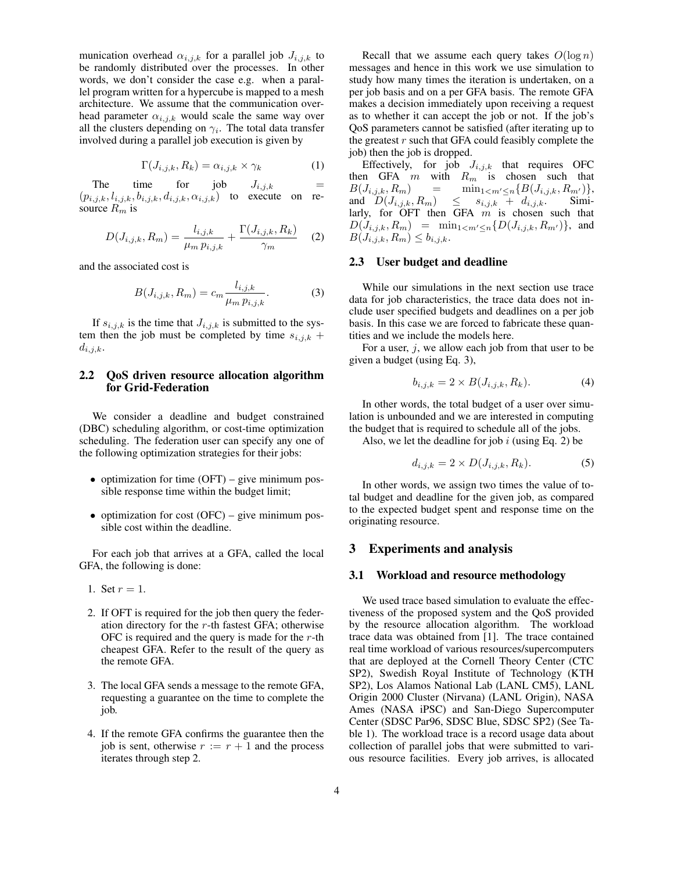munication overhead  $\alpha_{i,j,k}$  for a parallel job  $J_{i,j,k}$  to be randomly distributed over the processes. In other words, we don't consider the case e.g. when a parallel program written for a hypercube is mapped to a mesh architecture. We assume that the communication overhead parameter  $\alpha_{i,j,k}$  would scale the same way over all the clusters depending on  $\gamma_i$ . The total data transfer involved during a parallel job execution is given by

$$
\Gamma(J_{i,j,k}, R_k) = \alpha_{i,j,k} \times \gamma_k \tag{1}
$$

The time for job  $J_{i,j,k}$  =  $(p_{i,j,k}, l_{i,j,k}, b_{i,j,k}, d_{i,j,k}, \alpha_{i,j,k})$  to execute on resource  $R_m$  is

$$
D(J_{i,j,k}, R_m) = \frac{l_{i,j,k}}{\mu_m \, p_{i,j,k}} + \frac{\Gamma(J_{i,j,k}, R_k)}{\gamma_m} \tag{2}
$$

and the associated cost is

$$
B(J_{i,j,k}, R_m) = c_m \frac{l_{i,j,k}}{\mu_m \, p_{i,j,k}}.
$$
 (3)

If  $s_{i,j,k}$  is the time that  $J_{i,j,k}$  is submitted to the system then the job must be completed by time  $s_{i,j,k}$  +  $d_{i,j,k}$ .

## **2.2 QoS driven resource allocation algorithm for Grid-Federation**

We consider a deadline and budget constrained (DBC) scheduling algorithm, or cost-time optimization scheduling. The federation user can specify any one of the following optimization strategies for their jobs:

- optimization for time  $(OFT)$  give minimum possible response time within the budget limit;
- optimization for cost  $(OFC)$  give minimum possible cost within the deadline.

For each job that arrives at a GFA, called the local GFA, the following is done:

- 1. Set  $r = 1$ .
- 2. If OFT is required for the job then query the federation directory for the  $r$ -th fastest GFA; otherwise OFC is required and the query is made for the  $r$ -th cheapest GFA. Refer to the result of the query as the remote GFA.
- 3. The local GFA sends a message to the remote GFA, requesting a guarantee on the time to complete the job.
- 4. If the remote GFA confirms the guarantee then the job is sent, otherwise  $r := r + 1$  and the process iterates through step 2.

Recall that we assume each query takes  $O(\log n)$ messages and hence in this work we use simulation to study how many times the iteration is undertaken, on a per job basis and on a per GFA basis. The remote GFA makes a decision immediately upon receiving a request as to whether it can accept the job or not. If the job's QoS parameters cannot be satisfied (after iterating up to the greatest  $r$  such that GFA could feasibly complete the job) then the job is dropped.

Effectively, for job  $J_{i,j,k}$  that requires OFC then GFA  $m$  with  $R_m$  is chosen such that  $B(J_{i,j,k}, R_m) = \min_{1 \le m' \le n} \{B(J_{i,j,k}, R_{m'})\},$ and  $D(J_{i,j,k}, R_m) \leq s_{i,j,k} + d_{i,j,k}$ . Similarly, for OFT then GFA m is chosen such that  $D(J_{i,j,k}, R_m) = \min_{1 \le m' \le n} \{D(J_{i,j,k}, R_{m'})\},$  and  $B(J_{i,j,k}, R_m) \leq b_{i,j,k}.$ 

# **2.3 User budget and deadline**

While our simulations in the next section use trace data for job characteristics, the trace data does not include user specified budgets and deadlines on a per job basis. In this case we are forced to fabricate these quantities and we include the models here.

For a user,  $j$ , we allow each job from that user to be given a budget (using Eq. 3),

$$
b_{i,j,k} = 2 \times B(J_{i,j,k}, R_k). \tag{4}
$$

In other words, the total budget of a user over simulation is unbounded and we are interested in computing the budget that is required to schedule all of the jobs.

Also, we let the deadline for job  $i$  (using Eq. 2) be

$$
d_{i,j,k} = 2 \times D(J_{i,j,k}, R_k). \tag{5}
$$

In other words, we assign two times the value of total budget and deadline for the given job, as compared to the expected budget spent and response time on the originating resource.

#### **3 Experiments and analysis**

#### **3.1 Workload and resource methodology**

We used trace based simulation to evaluate the effectiveness of the proposed system and the QoS provided by the resource allocation algorithm. The workload trace data was obtained from [1]. The trace contained real time workload of various resources/supercomputers that are deployed at the Cornell Theory Center (CTC SP2), Swedish Royal Institute of Technology (KTH SP2), Los Alamos National Lab (LANL CM5), LANL Origin 2000 Cluster (Nirvana) (LANL Origin), NASA Ames (NASA iPSC) and San-Diego Supercomputer Center (SDSC Par96, SDSC Blue, SDSC SP2) (See Table 1). The workload trace is a record usage data about collection of parallel jobs that were submitted to various resource facilities. Every job arrives, is allocated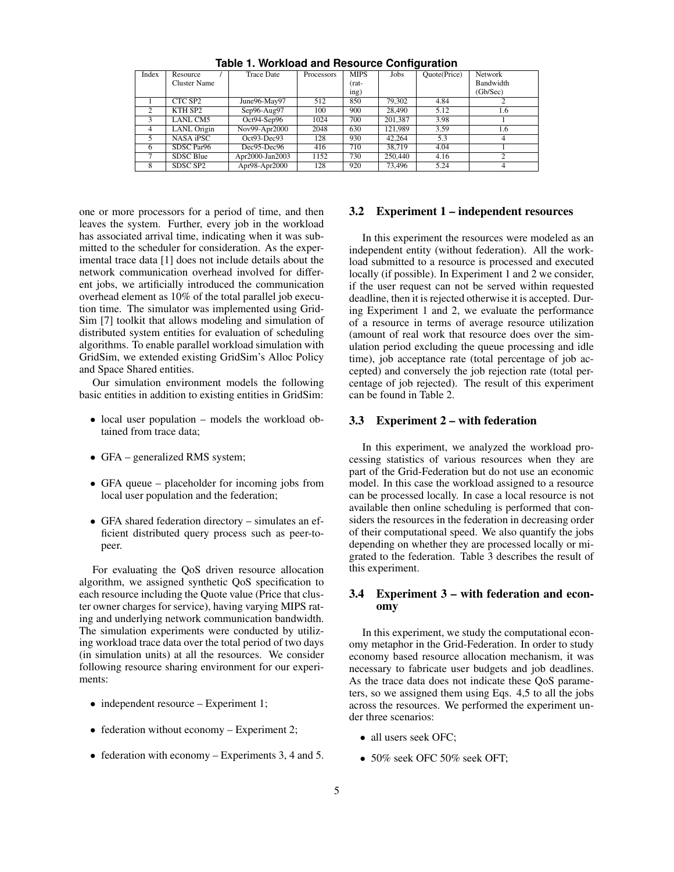| Index        | Resource            | <b>Trace Date</b> | Processors | <b>MIPS</b> | Jobs    | Quote(Price) | Network   |
|--------------|---------------------|-------------------|------------|-------------|---------|--------------|-----------|
|              | <b>Cluster Name</b> |                   |            | (rat-       |         |              | Bandwidth |
|              |                     |                   |            | ing)        |         |              | (Gb/Sec)  |
|              | CTC SP <sub>2</sub> | June96-May97      | 512        | 850         | 79.302  | 4.84         |           |
|              | KTH SP2             | $Sep96-Aug97$     | 100        | 900         | 28,490  | 5.12         | 1.6       |
|              | LANL CM5            | $Oct94-Sep96$     | 1024       | 700         | 201.387 | 3.98         |           |
|              | LANL Origin         | Nov99-Apr2000     | 2048       | 630         | 121.989 | 3.59         | 1.6       |
|              | NASA iPSC           | $Oct93-Dec93$     | 128        | 930         | 42,264  | 5.3          |           |
| <sub>0</sub> | SDSC Par96          | $Dec95-Dec96$     | 416        | 710         | 38,719  | 4.04         |           |
|              | SDSC Blue           | Apr2000-Jan2003   | 1152       | 730         | 250,440 | 4.16         |           |
|              | SDSC SP2            | Apr98-Apr2000     | 128        | 920         | 73,496  | 5.24         |           |

**Table 1. Workload and Resource Configuration**

one or more processors for a period of time, and then leaves the system. Further, every job in the workload has associated arrival time, indicating when it was submitted to the scheduler for consideration. As the experimental trace data [1] does not include details about the network communication overhead involved for different jobs, we artificially introduced the communication overhead element as 10% of the total parallel job execution time. The simulator was implemented using Grid-Sim [7] toolkit that allows modeling and simulation of distributed system entities for evaluation of scheduling algorithms. To enable parallel workload simulation with GridSim, we extended existing GridSim's Alloc Policy and Space Shared entities.

Our simulation environment models the following basic entities in addition to existing entities in GridSim:

- local user population models the workload obtained from trace data;
- GFA generalized RMS system;
- GFA queue placeholder for incoming jobs from local user population and the federation;
- GFA shared federation directory simulates an efficient distributed query process such as peer-topeer.

For evaluating the QoS driven resource allocation algorithm, we assigned synthetic QoS specification to each resource including the Quote value (Price that cluster owner charges for service), having varying MIPS rating and underlying network communication bandwidth. The simulation experiments were conducted by utilizing workload trace data over the total period of two days (in simulation units) at all the resources. We consider following resource sharing environment for our experiments:

- independent resource Experiment 1;
- federation without economy Experiment 2;
- federation with economy Experiments 3, 4 and 5.

## **3.2 Experiment 1 – independent resources**

In this experiment the resources were modeled as an independent entity (without federation). All the workload submitted to a resource is processed and executed locally (if possible). In Experiment 1 and 2 we consider, if the user request can not be served within requested deadline, then it is rejected otherwise it is accepted. During Experiment 1 and 2, we evaluate the performance of a resource in terms of average resource utilization (amount of real work that resource does over the simulation period excluding the queue processing and idle time), job acceptance rate (total percentage of job accepted) and conversely the job rejection rate (total percentage of job rejected). The result of this experiment can be found in Table 2.

#### **3.3 Experiment 2 – with federation**

In this experiment, we analyzed the workload processing statistics of various resources when they are part of the Grid-Federation but do not use an economic model. In this case the workload assigned to a resource can be processed locally. In case a local resource is not available then online scheduling is performed that considers the resources in the federation in decreasing order of their computational speed. We also quantify the jobs depending on whether they are processed locally or migrated to the federation. Table 3 describes the result of this experiment.

## **3.4 Experiment 3 – with federation and economy**

In this experiment, we study the computational economy metaphor in the Grid-Federation. In order to study economy based resource allocation mechanism, it was necessary to fabricate user budgets and job deadlines. As the trace data does not indicate these QoS parameters, so we assigned them using Eqs. 4,5 to all the jobs across the resources. We performed the experiment under three scenarios:

- all users seek OFC;
- 50% seek OFC 50% seek OFT;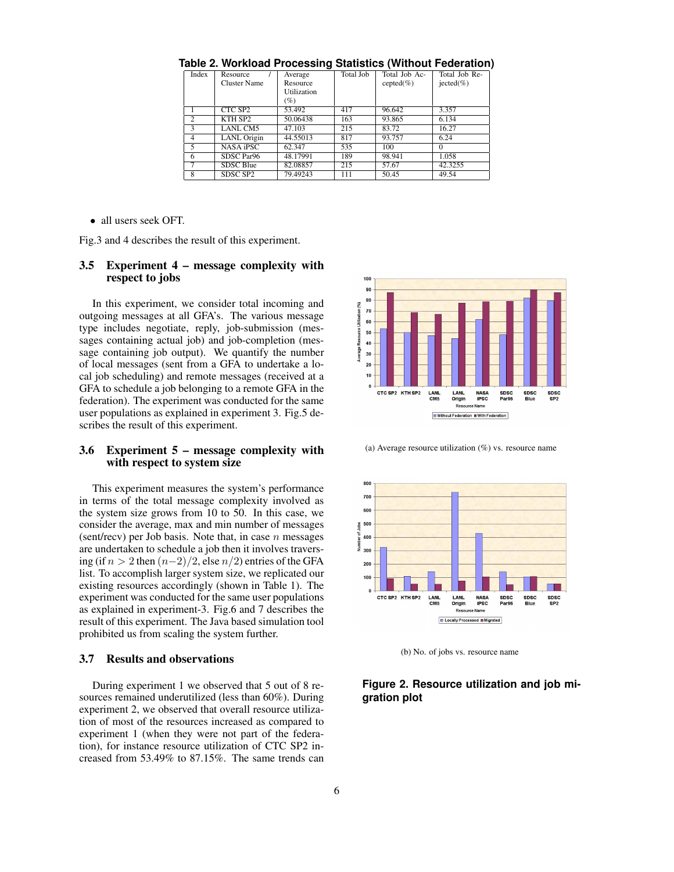| Index          | Resource<br>Cluster Name | Average<br>Resource<br><b>Utilization</b><br>$(\%)$ | Total Job | Total Job Ac-<br>cepted $(\% )$ | Total Job Re-<br>$\text{jected}(\%)$ |
|----------------|--------------------------|-----------------------------------------------------|-----------|---------------------------------|--------------------------------------|
|                | CTC SP2                  | 53.492                                              | 417       | 96.642                          | 3.357                                |
| 2              | KTH SP2                  | 50.06438                                            | 163       | 93.865                          | 6.134                                |
| 3              | LANL CM5                 | 47.103                                              | 215       | 83.72                           | 16.27                                |
| $\overline{4}$ | LANL Origin              | 44.55013                                            | 817       | 93.757                          | 6.24                                 |
| .5             | NASA iPSC                | 62.347                                              | 535       | 100                             | $\Omega$                             |
| 6              | SDSC Par96               | 48.17991                                            | 189       | 98.941                          | 1.058                                |
| 7              | SDSC Blue                | 82.08857                                            | 215       | 57.67                           | 42.3255                              |
| 8              | SDSC SP2                 | 79.49243                                            | 111       | 50.45                           | 49.54                                |

**Table 2. Workload Processing Statistics (Without Federation)**

• all users seek OFT.

Fig.3 and 4 describes the result of this experiment.

# **3.5 Experiment 4 – message complexity with respect to jobs**

In this experiment, we consider total incoming and outgoing messages at all GFA's. The various message type includes negotiate, reply, job-submission (messages containing actual job) and job-completion (message containing job output). We quantify the number of local messages (sent from a GFA to undertake a local job scheduling) and remote messages (received at a GFA to schedule a job belonging to a remote GFA in the federation). The experiment was conducted for the same user populations as explained in experiment 3. Fig.5 describes the result of this experiment.

# **3.6 Experiment 5 – message complexity with with respect to system size**

This experiment measures the system's performance in terms of the total message complexity involved as the system size grows from 10 to 50. In this case, we consider the average, max and min number of messages (sent/recv) per Job basis. Note that, in case  $n$  messages are undertaken to schedule a job then it involves traversing (if  $n > 2$  then  $(n-2)/2$ , else  $n/2$ ) entries of the GFA list. To accomplish larger system size, we replicated our existing resources accordingly (shown in Table 1). The experiment was conducted for the same user populations as explained in experiment-3. Fig.6 and 7 describes the result of this experiment. The Java based simulation tool prohibited us from scaling the system further.

#### **3.7 Results and observations**

During experiment 1 we observed that 5 out of 8 resources remained underutilized (less than 60%). During experiment 2, we observed that overall resource utilization of most of the resources increased as compared to experiment 1 (when they were not part of the federation), for instance resource utilization of CTC SP2 increased from 53.49% to 87.15%. The same trends can



(a) Average resource utilization (%) vs. resource name



(b) No. of jobs vs. resource name

# **Figure 2. Resource utilization and job migration plot**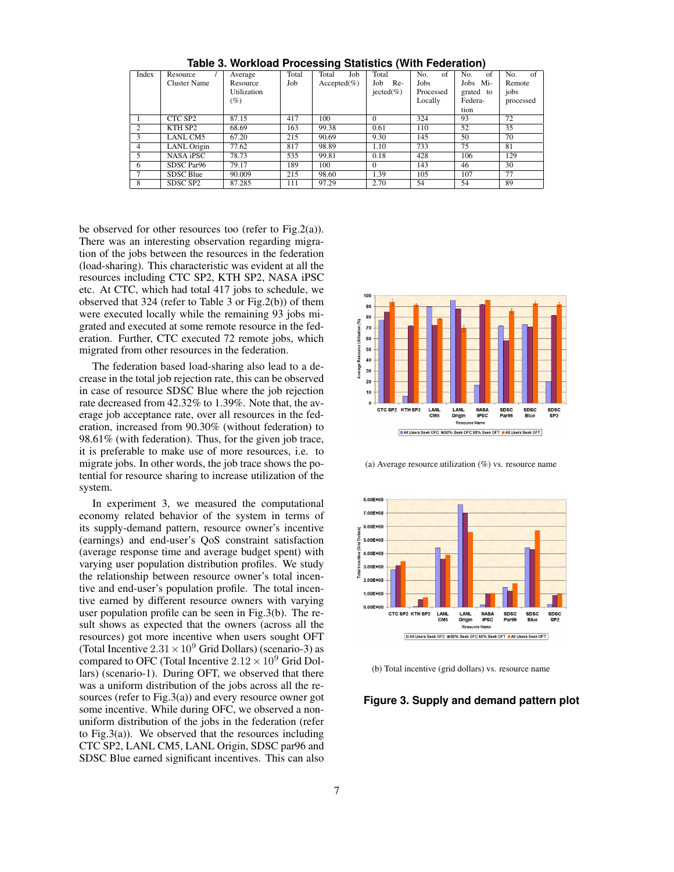| Resource<br>Cluster Name | Average<br>Resource<br>Utilization<br>$(\%)$ | Total<br>Job | Job<br>Total<br>$Accepted(\%)$ | Total<br>Job<br>-Re<br>$\text{jected}(\%)$ | of<br>No.<br>Jobs<br>Processed<br>Locally | of<br>No.<br>Jobs Mi-<br>grated to<br>Federa-<br>tion | of<br>No.<br>Remote<br>jobs<br>processed |
|--------------------------|----------------------------------------------|--------------|--------------------------------|--------------------------------------------|-------------------------------------------|-------------------------------------------------------|------------------------------------------|
| CTC SP2                  | 87.15                                        | 417          | 100                            | $\Omega$                                   | 324                                       | 93                                                    | 72                                       |
| KTH SP2                  | 68.69                                        | 163          | 99.38                          | 0.61                                       | 110                                       | 52                                                    | 35                                       |
| LANL CM5                 | 67.20                                        | 215          | 90.69                          | 9.30                                       | 145                                       | 50                                                    | 70                                       |
| LANL Origin              | 77.62                                        | 817          | 98.89                          | 1.10                                       | 733                                       | 75                                                    | 81                                       |
| NASA iPSC                | 78.73                                        | 535          | 99.81                          | 0.18                                       | 428                                       | 106                                                   | 129                                      |
| SDSC Par96               | 79.17                                        | 189          | 100                            | $\Omega$                                   | 143                                       | 46                                                    | 30                                       |
| SDSC Blue                | 90.009                                       | 215          | 98.60                          | 1.39                                       | 105                                       | 107                                                   | 77                                       |
| SDSC SP2                 | 87.285                                       | 111          | 97.29                          | 2.70                                       | 54                                        | 54                                                    | 89                                       |
|                          |                                              |              |                                |                                            |                                           |                                                       |                                          |

**Table 3. Workload Processing Statistics (With Federation)**

be observed for other resources too (refer to Fig.2(a)). There was an interesting observation regarding migration of the jobs between the resources in the federation (load-sharing). This characteristic was evident at all the resources including CTC SP2, KTH SP2, NASA iPSC etc. At CTC, which had total 417 jobs to schedule, we observed that 324 (refer to Table 3 or Fig.2(b)) of them were executed locally while the remaining 93 jobs migrated and executed at some remote resource in the federation. Further, CTC executed 72 remote jobs, which migrated from other resources in the federation.

The federation based load-sharing also lead to a decrease in the total job rejection rate, this can be observed in case of resource SDSC Blue where the job rejection rate decreased from 42.32% to 1.39%. Note that, the average job acceptance rate, over all resources in the federation, increased from 90.30% (without federation) to 98.61% (with federation). Thus, for the given job trace, it is preferable to make use of more resources, i.e. to migrate jobs. In other words, the job trace shows the potential for resource sharing to increase utilization of the system.

In experiment 3, we measured the computational economy related behavior of the system in terms of its supply-demand pattern, resource owner's incentive (earnings) and end-user's QoS constraint satisfaction (average response time and average budget spent) with varying user population distribution profiles. We study the relationship between resource owner's total incentive and end-user's population profile. The total incentive earned by different resource owners with varying user population profile can be seen in Fig.3(b). The result shows as expected that the owners (across all the resources) got more incentive when users sought OFT (Total Incentive  $2.31 \times 10^9$  Grid Dollars) (scenario-3) as compared to OFC (Total Incentive  $2.12 \times 10^9$  Grid Dollars) (scenario-1). During OFT, we observed that there was a uniform distribution of the jobs across all the resources (refer to Fig.3(a)) and every resource owner got some incentive. While during OFC, we observed a nonuniform distribution of the jobs in the federation (refer to Fig.3(a)). We observed that the resources including CTC SP2, LANL CM5, LANL Origin, SDSC par96 and SDSC Blue earned significant incentives. This can also



(a) Average resource utilization (%) vs. resource name



(b) Total incentive (grid dollars) vs. resource name

#### **Figure 3. Supply and demand pattern plot**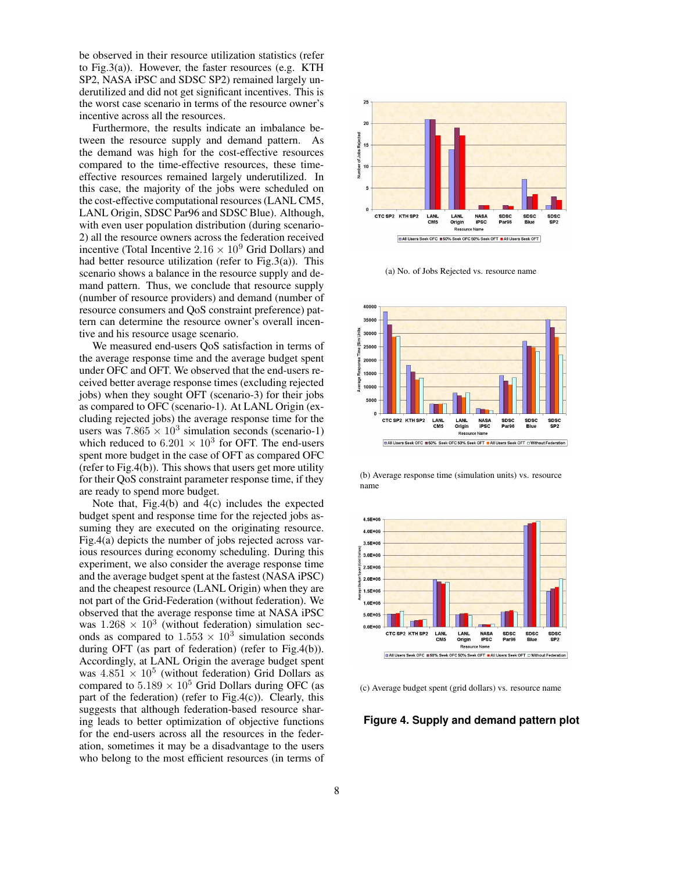be observed in their resource utilization statistics (refer to Fig.3(a)). However, the faster resources (e.g. KTH SP2, NASA iPSC and SDSC SP2) remained largely underutilized and did not get significant incentives. This is the worst case scenario in terms of the resource owner's incentive across all the resources.

Furthermore, the results indicate an imbalance between the resource supply and demand pattern. As the demand was high for the cost-effective resources compared to the time-effective resources, these timeeffective resources remained largely underutilized. In this case, the majority of the jobs were scheduled on the cost-effective computational resources(LANL CM5, LANL Origin, SDSC Par96 and SDSC Blue). Although, with even user population distribution (during scenario-2) all the resource owners across the federation received incentive (Total Incentive  $2.16 \times 10^9$  Grid Dollars) and had better resource utilization (refer to Fig.3(a)). This scenario shows a balance in the resource supply and demand pattern. Thus, we conclude that resource supply (number of resource providers) and demand (number of resource consumers and QoS constraint preference) pattern can determine the resource owner's overall incentive and his resource usage scenario.

We measured end-users QoS satisfaction in terms of the average response time and the average budget spent under OFC and OFT. We observed that the end-users received better average response times (excluding rejected jobs) when they sought OFT (scenario-3) for their jobs as compared to OFC (scenario-1). At LANL Origin (excluding rejected jobs) the average response time for the users was  $7.865 \times 10^3$  simulation seconds (scenario-1) which reduced to  $6.201 \times 10^3$  for OFT. The end-users spent more budget in the case of OFT as compared OFC (refer to Fig.4(b)). This shows that users get more utility for their QoS constraint parameter response time, if they are ready to spend more budget.

Note that, Fig.4(b) and 4(c) includes the expected budget spent and response time for the rejected jobs assuming they are executed on the originating resource. Fig.4(a) depicts the number of jobs rejected across various resources during economy scheduling. During this experiment, we also consider the average response time and the average budget spent at the fastest (NASA iPSC) and the cheapest resource (LANL Origin) when they are not part of the Grid-Federation (without federation). We observed that the average response time at NASA iPSC was  $1.268 \times 10^3$  (without federation) simulation seconds as compared to  $1.553 \times 10^3$  simulation seconds during OFT (as part of federation) (refer to Fig.4(b)). Accordingly, at LANL Origin the average budget spent was  $4.851 \times 10^5$  (without federation) Grid Dollars as compared to  $5.189 \times 10^5$  Grid Dollars during OFC (as part of the federation) (refer to Fig.4(c)). Clearly, this suggests that although federation-based resource sharing leads to better optimization of objective functions for the end-users across all the resources in the federation, sometimes it may be a disadvantage to the users who belong to the most efficient resources (in terms of



(a) No. of Jobs Rejected vs. resource name



(b) Average response time (simulation units) vs. resource name



(c) Average budget spent (grid dollars) vs. resource name

#### **Figure 4. Supply and demand pattern plot**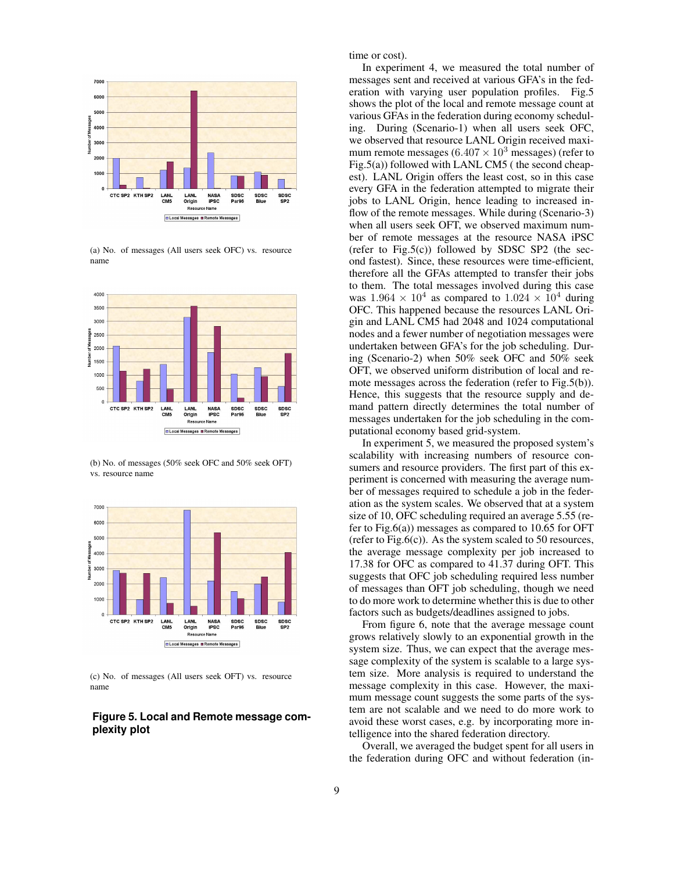

(a) No. of messages (All users seek OFC) vs. resource name



(b) No. of messages (50% seek OFC and 50% seek OFT) vs. resource name



(c) No. of messages (All users seek OFT) vs. resource name

# **Figure 5. Local and Remote message complexity plot**

time or cost).

In experiment 4, we measured the total number of messages sent and received at various GFA's in the federation with varying user population profiles. Fig.5 shows the plot of the local and remote message count at various GFAs in the federation during economy scheduling. During (Scenario-1) when all users seek OFC, we observed that resource LANL Origin received maximum remote messages  $(6.407 \times 10^3$  messages) (refer to Fig.5(a)) followed with LANL CM5 ( the second cheapest). LANL Origin offers the least cost, so in this case every GFA in the federation attempted to migrate their jobs to LANL Origin, hence leading to increased inflow of the remote messages. While during (Scenario-3) when all users seek OFT, we observed maximum number of remote messages at the resource NASA iPSC (refer to Fig.5(c)) followed by SDSC SP2 (the second fastest). Since, these resources were time-efficient, therefore all the GFAs attempted to transfer their jobs to them. The total messages involved during this case was  $1.964 \times 10^4$  as compared to  $1.024 \times 10^4$  during OFC. This happened because the resources LANL Origin and LANL CM5 had 2048 and 1024 computational nodes and a fewer number of negotiation messages were undertaken between GFA's for the job scheduling. During (Scenario-2) when 50% seek OFC and 50% seek OFT, we observed uniform distribution of local and remote messages across the federation (refer to Fig.5(b)). Hence, this suggests that the resource supply and demand pattern directly determines the total number of messages undertaken for the job scheduling in the computational economy based grid-system.

In experiment 5, we measured the proposed system's scalability with increasing numbers of resource consumers and resource providers. The first part of this experiment is concerned with measuring the average number of messages required to schedule a job in the federation as the system scales. We observed that at a system size of 10, OFC scheduling required an average 5.55 (refer to Fig.6(a)) messages as compared to 10.65 for OFT (refer to Fig.6(c)). As the system scaled to 50 resources, the average message complexity per job increased to 17.38 for OFC as compared to 41.37 during OFT. This suggests that OFC job scheduling required less number of messages than OFT job scheduling, though we need to do more work to determine whether this is due to other factors such as budgets/deadlines assigned to jobs.

From figure 6, note that the average message count grows relatively slowly to an exponential growth in the system size. Thus, we can expect that the average message complexity of the system is scalable to a large system size. More analysis is required to understand the message complexity in this case. However, the maximum message count suggests the some parts of the system are not scalable and we need to do more work to avoid these worst cases, e.g. by incorporating more intelligence into the shared federation directory.

Overall, we averaged the budget spent for all users in the federation during OFC and without federation (in-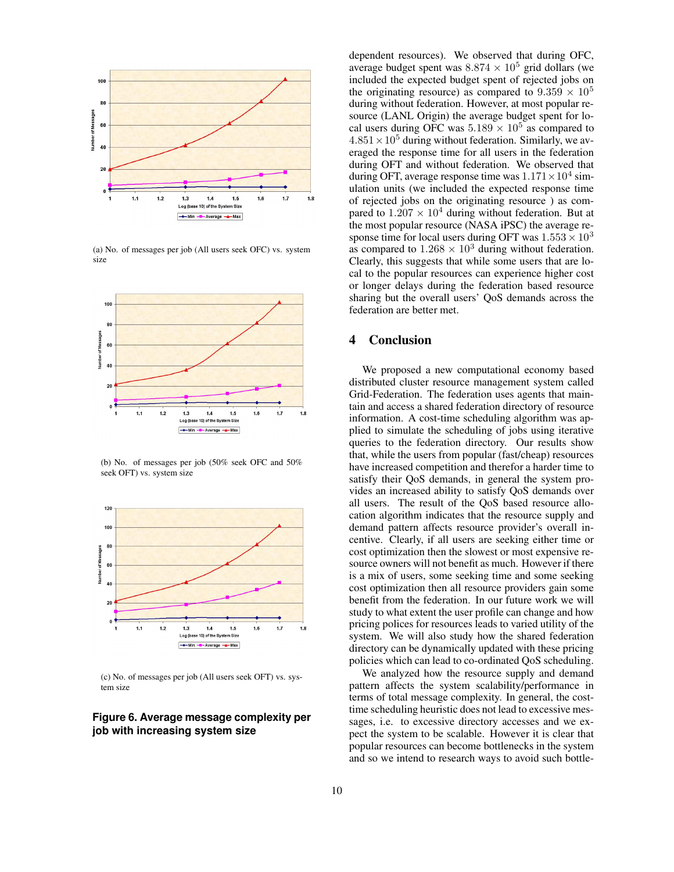

(a) No. of messages per job (All users seek OFC) vs. system size



(b) No. of messages per job (50% seek OFC and 50% seek OFT) vs. system size



(c) No. of messages per job (All users seek OFT) vs. system size

## **Figure 6. Average message complexity per job with increasing system size**

dependent resources). We observed that during OFC, average budget spent was  $8.874 \times 10^5$  grid dollars (we included the expected budget spent of rejected jobs on the originating resource) as compared to  $9.359 \times 10^5$ during without federation. However, at most popular resource (LANL Origin) the average budget spent for local users during OFC was  $5.189 \times 10^5$  as compared to  $4.851 \times 10^5$  during without federation. Similarly, we averaged the response time for all users in the federation during OFT and without federation. We observed that during OFT, average response time was  $1.171 \times 10^4$  simulation units (we included the expected response time of rejected jobs on the originating resource ) as compared to  $1.207 \times 10^4$  during without federation. But at the most popular resource (NASA iPSC) the average response time for local users during OFT was  $1.553 \times 10^3$ as compared to  $1.268 \times 10^3$  during without federation. Clearly, this suggests that while some users that are local to the popular resources can experience higher cost or longer delays during the federation based resource sharing but the overall users' QoS demands across the federation are better met.

# **4 Conclusion**

We proposed a new computational economy based distributed cluster resource management system called Grid-Federation. The federation uses agents that maintain and access a shared federation directory of resource information. A cost-time scheduling algorithm was applied to simulate the scheduling of jobs using iterative queries to the federation directory. Our results show that, while the users from popular (fast/cheap) resources have increased competition and therefor a harder time to satisfy their QoS demands, in general the system provides an increased ability to satisfy QoS demands over all users. The result of the QoS based resource allocation algorithm indicates that the resource supply and demand pattern affects resource provider's overall incentive. Clearly, if all users are seeking either time or cost optimization then the slowest or most expensive resource owners will not benefit as much. However if there is a mix of users, some seeking time and some seeking cost optimization then all resource providers gain some benefit from the federation. In our future work we will study to what extent the user profile can change and how pricing polices for resources leads to varied utility of the system. We will also study how the shared federation directory can be dynamically updated with these pricing policies which can lead to co-ordinated QoS scheduling.

We analyzed how the resource supply and demand pattern affects the system scalability/performance in terms of total message complexity. In general, the costtime scheduling heuristic does not lead to excessive messages, i.e. to excessive directory accesses and we expect the system to be scalable. However it is clear that popular resources can become bottlenecks in the system and so we intend to research ways to avoid such bottle